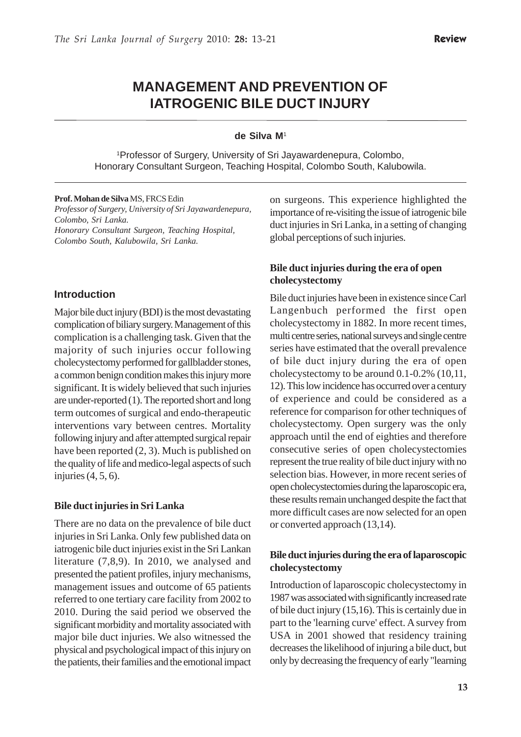# **MANAGEMENT AND PREVENTION OF IATROGENIC BILE DUCT INJURY**

#### **de Silva M**<sup>1</sup>

1 Professor of Surgery, University of Sri Jayawardenepura, Colombo, Honorary Consultant Surgeon, Teaching Hospital, Colombo South, Kalubowila.

#### **Prof. Mohan de Silva** MS, FRCS Edin

*Professor of Surgery, University of Sri Jayawardenepura, Colombo, Sri Lanka. Honorary Consultant Surgeon, Teaching Hospital, Colombo South, Kalubowila, Sri Lanka.*

#### **Introduction**

Major bile duct injury (BDI) is the most devastating complication of biliary surgery. Management of this complication is a challenging task. Given that the majority of such injuries occur following cholecystectomy performed for gallbladder stones, a common benign condition makes this injury more significant. It is widely believed that such injuries are under-reported (1). The reported short and long term outcomes of surgical and endo-therapeutic interventions vary between centres. Mortality following injury and after attempted surgical repair have been reported (2, 3). Much is published on the quality of life and medico-legal aspects of such injuries (4, 5, 6).

#### **Bile duct injuries in Sri Lanka**

There are no data on the prevalence of bile duct injuries in Sri Lanka. Only few published data on iatrogenic bile duct injuries exist in the Sri Lankan literature (7,8,9). In 2010, we analysed and presented the patient profiles, injury mechanisms, management issues and outcome of 65 patients referred to one tertiary care facility from 2002 to 2010. During the said period we observed the significant morbidity and mortality associated with major bile duct injuries. We also witnessed the physical and psychological impact of this injury on the patients, their families and the emotional impact on surgeons. This experience highlighted the importance of re-visiting the issue of iatrogenic bile duct injuries in Sri Lanka, in a setting of changing global perceptions of such injuries.

#### **Bile duct injuries during the era of open cholecystectomy**

Bile duct injuries have been in existence since Carl Langenbuch performed the first open cholecystectomy in 1882. In more recent times, multi centre series, national surveys and single centre series have estimated that the overall prevalence of bile duct injury during the era of open cholecystectomy to be around 0.1-0.2% (10,11, 12). This low incidence has occurred over a century of experience and could be considered as a reference for comparison for other techniques of cholecystectomy. Open surgery was the only approach until the end of eighties and therefore consecutive series of open cholecystectomies represent the true reality of bile duct injury with no selection bias. However, in more recent series of open cholecystectomies during the laparoscopic era, these results remain unchanged despite the fact that more difficult cases are now selected for an open or converted approach (13,14).

#### **Bile duct injuries during the era of laparoscopic cholecystectomy**

Introduction of laparoscopic cholecystectomy in 1987 was associated with significantly increased rate of bile duct injury (15,16). This is certainly due in part to the 'learning curve' effect. A survey from USA in 2001 showed that residency training decreases the likelihood of injuring a bile duct, but only by decreasing the frequency of early "learning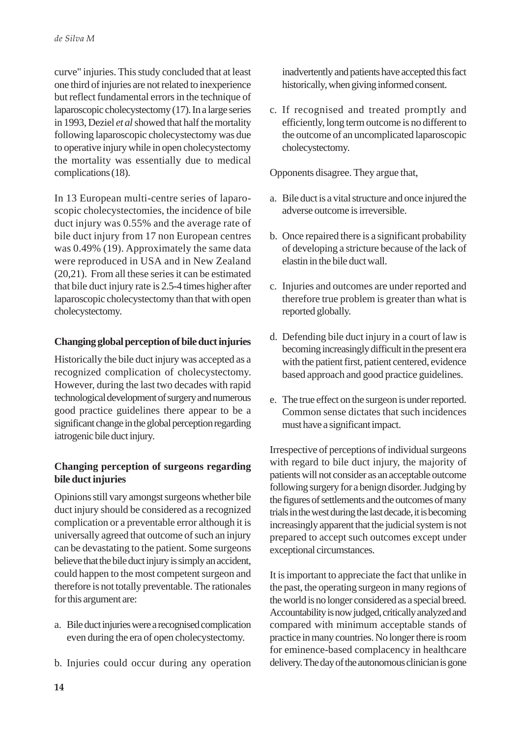curve" injuries. This study concluded that at least one third of injuries are not related to inexperience but reflect fundamental errors in the technique of laparoscopic cholecystectomy (17). In a large series in 1993, Deziel *et al* showed that half the mortality following laparoscopic cholecystectomy was due to operative injury while in open cholecystectomy the mortality was essentially due to medical complications (18).

In 13 European multi-centre series of laparoscopic cholecystectomies, the incidence of bile duct injury was 0.55% and the average rate of bile duct injury from 17 non European centres was 0.49% (19). Approximately the same data were reproduced in USA and in New Zealand (20,21). From all these series it can be estimated that bile duct injury rate is 2.5-4 times higher after laparoscopic cholecystectomy than that with open cholecystectomy.

# **Changing global perception of bile duct injuries**

Historically the bile duct injury was accepted as a recognized complication of cholecystectomy. However, during the last two decades with rapid technological development of surgery and numerous good practice guidelines there appear to be a significant change in the global perception regarding iatrogenic bile duct injury.

### **Changing perception of surgeons regarding bile duct injuries**

Opinions still vary amongst surgeons whether bile duct injury should be considered as a recognized complication or a preventable error although it is universally agreed that outcome of such an injury can be devastating to the patient. Some surgeons believe that the bile duct injury is simply an accident, could happen to the most competent surgeon and therefore is not totally preventable. The rationales for this argument are:

- a. Bile duct injuries were a recognised complication even during the era of open cholecystectomy.
- b. Injuries could occur during any operation

inadvertently and patients have accepted this fact historically, when giving informed consent.

c. If recognised and treated promptly and efficiently, long term outcome is no different to the outcome of an uncomplicated laparoscopic cholecystectomy.

Opponents disagree. They argue that,

- a. Bile duct is a vital structure and once injured the adverse outcome is irreversible.
- b. Once repaired there is a significant probability of developing a stricture because of the lack of elastin in the bile duct wall.
- c. Injuries and outcomes are under reported and therefore true problem is greater than what is reported globally.
- d. Defending bile duct injury in a court of law is becoming increasingly difficult in the present era with the patient first, patient centered, evidence based approach and good practice guidelines.
- e. The true effect on the surgeon is under reported. Common sense dictates that such incidences must have a significant impact.

Irrespective of perceptions of individual surgeons with regard to bile duct injury, the majority of patients will not consider as an acceptable outcome following surgery for a benign disorder. Judging by the figures of settlements and the outcomes of many trials in the west during the last decade, it is becoming increasingly apparent that the judicial system is not prepared to accept such outcomes except under exceptional circumstances.

It is important to appreciate the fact that unlike in the past, the operating surgeon in many regions of the world is no longer considered as a special breed. Accountability is now judged, critically analyzed and compared with minimum acceptable stands of practice in many countries. No longer there is room for eminence-based complacency in healthcare delivery. The day of the autonomous clinician is gone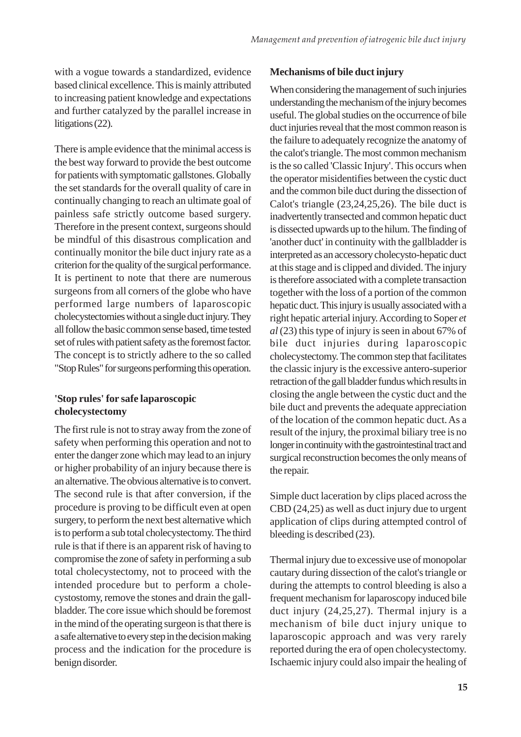with a vogue towards a standardized, evidence based clinical excellence. This is mainly attributed to increasing patient knowledge and expectations and further catalyzed by the parallel increase in litigations (22).

There is ample evidence that the minimal access is the best way forward to provide the best outcome for patients with symptomatic gallstones. Globally the set standards for the overall quality of care in continually changing to reach an ultimate goal of painless safe strictly outcome based surgery. Therefore in the present context, surgeons should be mindful of this disastrous complication and continually monitor the bile duct injury rate as a criterion for the quality of the surgical performance. It is pertinent to note that there are numerous surgeons from all corners of the globe who have performed large numbers of laparoscopic cholecystectomies without a single duct injury. They all follow the basic common sense based, time tested set of rules with patient safety as the foremost factor. The concept is to strictly adhere to the so called "Stop Rules" for surgeons performing this operation.

# **'Stop rules' for safe laparoscopic cholecystectomy**

The first rule is not to stray away from the zone of safety when performing this operation and not to enter the danger zone which may lead to an injury or higher probability of an injury because there is an alternative. The obvious alternative is to convert. The second rule is that after conversion, if the procedure is proving to be difficult even at open surgery, to perform the next best alternative which is to perform a sub total cholecystectomy. The third rule is that if there is an apparent risk of having to compromise the zone of safety in performing a sub total cholecystectomy, not to proceed with the intended procedure but to perform a cholecystostomy, remove the stones and drain the gallbladder. The core issue which should be foremost in the mind of the operating surgeon is that there is a safe alternative to every step in the decision making process and the indication for the procedure is benign disorder.

#### **Mechanisms of bile duct injury**

When considering the management of such injuries understanding the mechanism of the injury becomes useful. The global studies on the occurrence of bile duct injuries reveal that the most common reason is the failure to adequately recognize the anatomy of the calot's triangle. The most common mechanism is the so called 'Classic Injury'. This occurs when the operator misidentifies between the cystic duct and the common bile duct during the dissection of Calot's triangle (23,24,25,26). The bile duct is inadvertently transected and common hepatic duct is dissected upwards up to the hilum. The finding of 'another duct' in continuity with the gallbladder is interpreted as an accessory cholecysto-hepatic duct at this stage and is clipped and divided. The injury is therefore associated with a complete transaction together with the loss of a portion of the common hepatic duct. This injury is usually associated with a right hepatic arterial injury. According to Soper *et al* (23) this type of injury is seen in about 67% of bile duct injuries during laparoscopic cholecystectomy. The common step that facilitates the classic injury is the excessive antero-superior retraction of the gall bladder fundus which results in closing the angle between the cystic duct and the bile duct and prevents the adequate appreciation of the location of the common hepatic duct. As a result of the injury, the proximal biliary tree is no longer in continuity with the gastrointestinal tract and surgical reconstruction becomes the only means of the repair.

Simple duct laceration by clips placed across the CBD (24,25) as well as duct injury due to urgent application of clips during attempted control of bleeding is described (23).

Thermal injury due to excessive use of monopolar cautary during dissection of the calot's triangle or during the attempts to control bleeding is also a frequent mechanism for laparoscopy induced bile duct injury (24,25,27). Thermal injury is a mechanism of bile duct injury unique to laparoscopic approach and was very rarely reported during the era of open cholecystectomy. Ischaemic injury could also impair the healing of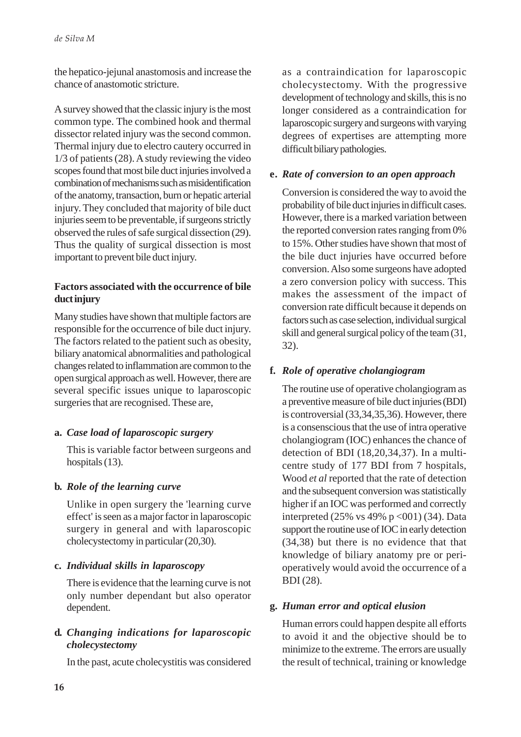the hepatico-jejunal anastomosis and increase the chance of anastomotic stricture.

A survey showed that the classic injury is the most common type. The combined hook and thermal dissector related injury was the second common. Thermal injury due to electro cautery occurred in 1/3 of patients (28). A study reviewing the video scopes found that most bile duct injuries involved a combination of mechanisms such as misidentification of the anatomy, transaction, burn or hepatic arterial injury. They concluded that majority of bile duct injuries seem to be preventable, if surgeons strictly observed the rules of safe surgical dissection (29). Thus the quality of surgical dissection is most important to prevent bile duct injury.

# **Factors associated with the occurrence of bile duct injury**

Many studies have shown that multiple factors are responsible for the occurrence of bile duct injury. The factors related to the patient such as obesity, biliary anatomical abnormalities and pathological changes related to inflammation are common to the open surgical approach as well. However, there are several specific issues unique to laparoscopic surgeries that are recognised. These are,

#### **a.** *Case load of laparoscopic surgery*

This is variable factor between surgeons and hospitals (13).

# **b.** *Role of the learning curve*

Unlike in open surgery the 'learning curve effect' is seen as a major factor in laparoscopic surgery in general and with laparoscopic cholecystectomy in particular (20,30).

# **c.** *Individual skills in laparoscopy*

There is evidence that the learning curve is not only number dependant but also operator dependent.

### **d.** *Changing indications for laparoscopic cholecystectomy*

In the past, acute cholecystitis was considered

as a contraindication for laparoscopic cholecystectomy. With the progressive development of technology and skills, this is no longer considered as a contraindication for laparoscopic surgery and surgeons with varying degrees of expertises are attempting more difficult biliary pathologies.

#### **e.** *Rate of conversion to an open approach*

Conversion is considered the way to avoid the probability of bile duct injuries in difficult cases. However, there is a marked variation between the reported conversion rates ranging from 0% to 15%. Other studies have shown that most of the bile duct injuries have occurred before conversion. Also some surgeons have adopted a zero conversion policy with success. This makes the assessment of the impact of conversion rate difficult because it depends on factors such as case selection, individual surgical skill and general surgical policy of the team (31, 32).

# **f.** *Role of operative cholangiogram*

The routine use of operative cholangiogram as a preventive measure of bile duct injuries (BDI) is controversial (33,34,35,36). However, there is a consenscious that the use of intra operative cholangiogram (IOC) enhances the chance of detection of BDI (18,20,34,37). In a multicentre study of 177 BDI from 7 hospitals, Wood *et al* reported that the rate of detection and the subsequent conversion was statistically higher if an IOC was performed and correctly interpreted (25% vs 49% p < 001) (34). Data support the routine use of IOC in early detection (34,38) but there is no evidence that that knowledge of biliary anatomy pre or perioperatively would avoid the occurrence of a BDI (28).

#### **g.** *Human error and optical elusion*

Human errors could happen despite all efforts to avoid it and the objective should be to minimize to the extreme. The errors are usually the result of technical, training or knowledge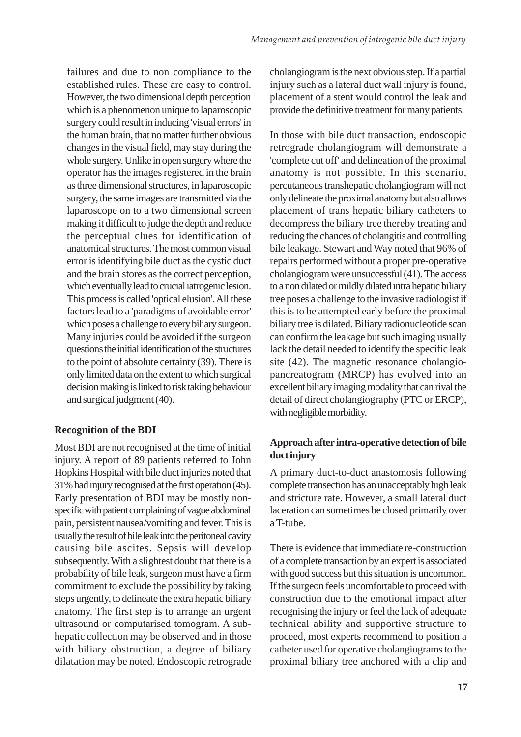failures and due to non compliance to the established rules. These are easy to control. However, the two dimensional depth perception which is a phenomenon unique to laparoscopic surgery could result in inducing 'visual errors' in the human brain, that no matter further obvious changes in the visual field, may stay during the whole surgery. Unlike in open surgery where the operator has the images registered in the brain as three dimensional structures, in laparoscopic surgery, the same images are transmitted via the laparoscope on to a two dimensional screen making it difficult to judge the depth and reduce the perceptual clues for identification of anatomical structures. The most common visual error is identifying bile duct as the cystic duct and the brain stores as the correct perception, which eventually lead to crucial iatrogenic lesion. This process is called 'optical elusion'. All these factors lead to a 'paradigms of avoidable error' which poses a challenge to every biliary surgeon. Many injuries could be avoided if the surgeon questions the initial identification of the structures to the point of absolute certainty (39). There is only limited data on the extent to which surgical decision making is linked to risk taking behaviour and surgical judgment (40).

#### **Recognition of the BDI**

Most BDI are not recognised at the time of initial injury. A report of 89 patients referred to John Hopkins Hospital with bile duct injuries noted that 31% had injury recognised at the first operation (45). Early presentation of BDI may be mostly nonspecific with patient complaining of vague abdominal pain, persistent nausea/vomiting and fever. This is usually the result of bile leak into the peritoneal cavity causing bile ascites. Sepsis will develop subsequently. With a slightest doubt that there is a probability of bile leak, surgeon must have a firm commitment to exclude the possibility by taking steps urgently, to delineate the extra hepatic biliary anatomy. The first step is to arrange an urgent ultrasound or computarised tomogram. A subhepatic collection may be observed and in those with biliary obstruction, a degree of biliary dilatation may be noted. Endoscopic retrograde cholangiogram is the next obvious step. If a partial injury such as a lateral duct wall injury is found, placement of a stent would control the leak and provide the definitive treatment for many patients.

In those with bile duct transaction, endoscopic retrograde cholangiogram will demonstrate a 'complete cut off' and delineation of the proximal anatomy is not possible. In this scenario, percutaneous transhepatic cholangiogram will not only delineate the proximal anatomy but also allows placement of trans hepatic biliary catheters to decompress the biliary tree thereby treating and reducing the chances of cholangitis and controlling bile leakage. Stewart and Way noted that 96% of repairs performed without a proper pre-operative cholangiogram were unsuccessful (41). The access to a non dilated or mildly dilated intra hepatic biliary tree poses a challenge to the invasive radiologist if this is to be attempted early before the proximal biliary tree is dilated. Biliary radionucleotide scan can confirm the leakage but such imaging usually lack the detail needed to identify the specific leak site (42). The magnetic resonance cholangiopancreatogram (MRCP) has evolved into an excellent biliary imaging modality that can rival the detail of direct cholangiography (PTC or ERCP), with negligible morbidity.

### **Approach after intra-operative detection of bile duct injury**

A primary duct-to-duct anastomosis following complete transection has an unacceptably high leak and stricture rate. However, a small lateral duct laceration can sometimes be closed primarily over a T-tube.

There is evidence that immediate re-construction of a complete transaction by an expert is associated with good success but this situation is uncommon. If the surgeon feels uncomfortable to proceed with construction due to the emotional impact after recognising the injury or feel the lack of adequate technical ability and supportive structure to proceed, most experts recommend to position a catheter used for operative cholangiograms to the proximal biliary tree anchored with a clip and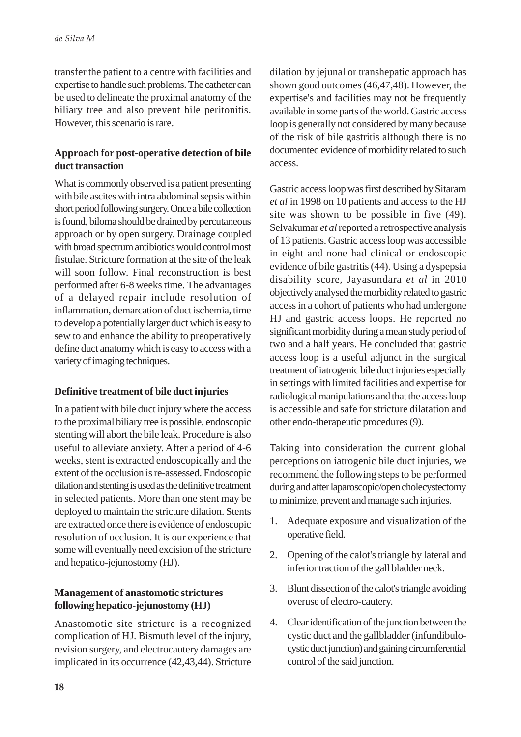transfer the patient to a centre with facilities and expertise to handle such problems. The catheter can be used to delineate the proximal anatomy of the biliary tree and also prevent bile peritonitis. However, this scenario is rare.

#### **Approach for post-operative detection of bile duct transaction**

What is commonly observed is a patient presenting with bile ascites with intra abdominal sepsis within short period following surgery. Once a bile collection is found, biloma should be drained by percutaneous approach or by open surgery. Drainage coupled with broad spectrum antibiotics would control most fistulae. Stricture formation at the site of the leak will soon follow. Final reconstruction is best performed after 6-8 weeks time. The advantages of a delayed repair include resolution of inflammation, demarcation of duct ischemia, time to develop a potentially larger duct which is easy to sew to and enhance the ability to preoperatively define duct anatomy which is easy to access with a variety of imaging techniques.

# **Definitive treatment of bile duct injuries**

In a patient with bile duct injury where the access to the proximal biliary tree is possible, endoscopic stenting will abort the bile leak. Procedure is also useful to alleviate anxiety. After a period of 4-6 weeks, stent is extracted endoscopically and the extent of the occlusion is re-assessed. Endoscopic dilation and stenting is used as the definitive treatment in selected patients. More than one stent may be deployed to maintain the stricture dilation. Stents are extracted once there is evidence of endoscopic resolution of occlusion. It is our experience that some will eventually need excision of the stricture and hepatico-jejunostomy (HJ).

### **Management of anastomotic strictures following hepatico-jejunostomy (HJ)**

Anastomotic site stricture is a recognized complication of HJ. Bismuth level of the injury, revision surgery, and electrocautery damages are implicated in its occurrence (42,43,44). Stricture dilation by jejunal or transhepatic approach has shown good outcomes (46,47,48). However, the expertise's and facilities may not be frequently available in some parts of the world. Gastric access loop is generally not considered by many because of the risk of bile gastritis although there is no documented evidence of morbidity related to such access.

Gastric access loop was first described by Sitaram *et al* in 1998 on 10 patients and access to the HJ site was shown to be possible in five (49). Selvakumar *et al* reported a retrospective analysis of 13 patients. Gastric access loop was accessible in eight and none had clinical or endoscopic evidence of bile gastritis (44). Using a dyspepsia disability score, Jayasundara *et al* in 2010 objectively analysed the morbidity related to gastric access in a cohort of patients who had undergone HJ and gastric access loops. He reported no significant morbidity during a mean study period of two and a half years. He concluded that gastric access loop is a useful adjunct in the surgical treatment of iatrogenic bile duct injuries especially in settings with limited facilities and expertise for radiological manipulations and that the access loop is accessible and safe for stricture dilatation and other endo-therapeutic procedures (9).

Taking into consideration the current global perceptions on iatrogenic bile duct injuries, we recommend the following steps to be performed during and after laparoscopic/open cholecystectomy to minimize, prevent and manage such injuries.

- 1. Adequate exposure and visualization of the operative field.
- 2. Opening of the calot's triangle by lateral and inferior traction of the gall bladder neck.
- 3. Blunt dissection of the calot's triangle avoiding overuse of electro-cautery.
- 4. Clear identification of the junction between the cystic duct and the gallbladder (infundibulocystic duct junction) and gaining circumferential control of the said junction.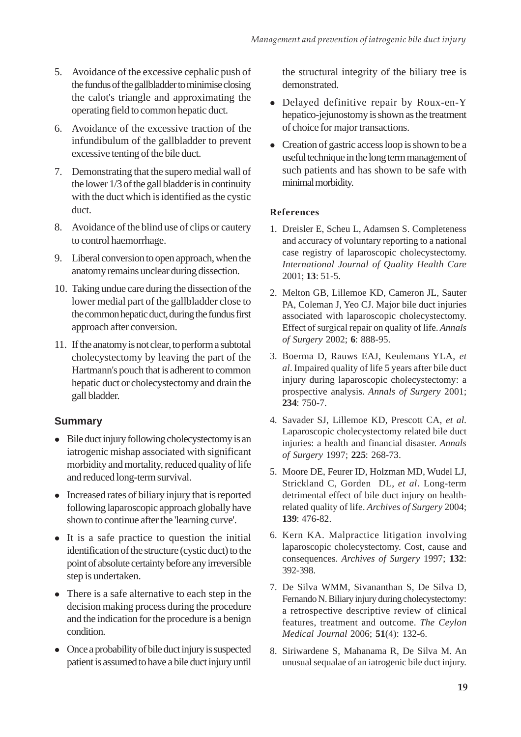- 5. Avoidance of the excessive cephalic push of the fundus of the gallbladder to minimise closing the calot's triangle and approximating the operating field to common hepatic duct.
- 6. Avoidance of the excessive traction of the infundibulum of the gallbladder to prevent excessive tenting of the bile duct.
- 7. Demonstrating that the supero medial wall of the lower 1/3 of the gall bladder is in continuity with the duct which is identified as the cystic duct.
- 8. Avoidance of the blind use of clips or cautery to control haemorrhage.
- 9. Liberal conversion to open approach, when the anatomy remains unclear during dissection.
- 10. Taking undue care during the dissection of the lower medial part of the gallbladder close to the common hepatic duct, during the fundus first approach after conversion.
- 11. If the anatomy is not clear, to perform a subtotal cholecystectomy by leaving the part of the Hartmann's pouch that is adherent to common hepatic duct or cholecystectomy and drain the gall bladder.

# **Summary**

- $\bullet$  Bile duct injury following cholecystectomy is an iatrogenic mishap associated with significant morbidity and mortality, reduced quality of life and reduced long-term survival.
- Increased rates of biliary injury that is reported following laparoscopic approach globally have shown to continue after the 'learning curve'.
- $\bullet$  It is a safe practice to question the initial identification of the structure (cystic duct) to the point of absolute certainty before any irreversible step is undertaken.
- There is a safe alternative to each step in the decision making process during the procedure and the indication for the procedure is a benign condition.
- Once a probability of bile duct injury is suspected patient is assumed to have a bile duct injury until

the structural integrity of the biliary tree is demonstrated.

- Delayed definitive repair by Roux-en-Y hepatico-jejunostomy is shown as the treatment of choice for major transactions.
- Creation of gastric access loop is shown to be a useful technique in the long term management of such patients and has shown to be safe with minimal morbidity.

### **References**

- 1. Dreisler E, Scheu L, Adamsen S. Completeness and accuracy of voluntary reporting to a national case registry of laparoscopic cholecystectomy. *International Journal of Quality Health Care* 2001; **13**: 51-5.
- 2. Melton GB, Lillemoe KD, Cameron JL, Sauter PA, Coleman J, Yeo CJ. Major bile duct injuries associated with laparoscopic cholecystectomy. Effect of surgical repair on quality of life. *Annals of Surgery* 2002; **6**: 888-95.
- 3. Boerma D, Rauws EAJ, Keulemans YLA, *et al*. Impaired quality of life 5 years after bile duct injury during laparoscopic cholecystectomy: a prospective analysis. *Annals of Surgery* 2001; **234**: 750-7.
- 4. Savader SJ, Lillemoe KD, Prescott CA, *et al*. Laparoscopic cholecystectomy related bile duct injuries: a health and financial disaster. *Annals of Surgery* 1997; **225**: 268-73.
- 5. Moore DE, Feurer ID, Holzman MD, Wudel LJ, Strickland C, Gorden DL, *et al*. Long-term detrimental effect of bile duct injury on healthrelated quality of life. *Archives of Surgery* 2004; **139**: 476-82.
- 6. Kern KA. Malpractice litigation involving laparoscopic cholecystectomy. Cost, cause and consequences. *Archives of Surgery* 1997; **132**: 392-398.
- 7. De Silva WMM, Sivananthan S, De Silva D, Fernando N. Biliary injury during cholecystectomy: a retrospective descriptive review of clinical features, treatment and outcome. *The Ceylon Medical Journal* 2006; **51**(4): 132-6.
- 8. Siriwardene S, Mahanama R, De Silva M. An unusual sequalae of an iatrogenic bile duct injury.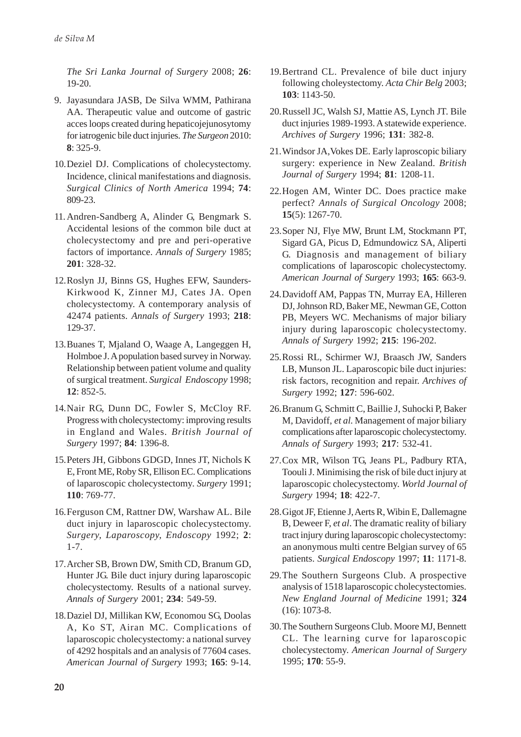*The Sri Lanka Journal of Surgery* 2008; **26**: 19-20.

- 9. Jayasundara JASB, De Silva WMM, Pathirana AA. Therapeutic value and outcome of gastric acces loops created during hepaticojejunosytomy for iatrogenic bile duct injuries. *The Surgeon* 2010: **8**: 325-9.
- 10.Deziel DJ. Complications of cholecystectomy. Incidence, clinical manifestations and diagnosis. *Surgical Clinics of North America* 1994; **74**: 809-23.
- 11. Andren-Sandberg A, Alinder G, Bengmark S. Accidental lesions of the common bile duct at cholecystectomy and pre and peri-operative factors of importance. *Annals of Surgery* 1985; **201**: 328-32.
- 12.Roslyn JJ, Binns GS, Hughes EFW, Saunders-Kirkwood K, Zinner MJ, Cates JA. Open cholecystectomy. A contemporary analysis of 42474 patients. *Annals of Surgery* 1993; **218**: 129-37.
- 13.Buanes T, Mjaland O, Waage A, Langeggen H, Holmboe J. A population based survey in Norway. Relationship between patient volume and quality of surgical treatment. *Surgical Endoscopy* 1998; **12**: 852-5.
- 14.Nair RG, Dunn DC, Fowler S, McCloy RF. Progress with cholecystectomy: improving results in England and Wales. *British Journal of Surgery* 1997; **84**: 1396-8.
- 15.Peters JH, Gibbons GDGD, Innes JT, Nichols K E, Front ME, Roby SR, Ellison EC. Complications of laparoscopic cholecystectomy. *Surgery* 1991; **110**: 769-77.
- 16.Ferguson CM, Rattner DW, Warshaw AL. Bile duct injury in laparoscopic cholecystectomy. *Surgery, Laparoscopy, Endoscopy* 1992; **2**: 1-7.
- 17.Archer SB, Brown DW, Smith CD, Branum GD, Hunter JG. Bile duct injury during laparoscopic cholecystectomy. Results of a national survey. *Annals of Surgery* 2001; **234**: 549-59.
- 18.Daziel DJ, Millikan KW, Economou SG, Doolas A, Ko ST, Airan MC. Complications of laparoscopic cholecystectomy: a national survey of 4292 hospitals and an analysis of 77604 cases. *American Journal of Surgery* 1993; **165**: 9-14.
- 19.Bertrand CL. Prevalence of bile duct injury following choleystectomy. *Acta Chir Belg* 2003; **103**: 1143-50.
- 20.Russell JC, Walsh SJ, Mattie AS, Lynch JT. Bile duct injuries 1989-1993. A statewide experience. *Archives of Surgery* 1996; **131**: 382-8.
- 21.Windsor JA,Vokes DE. Early laproscopic biliary surgery: experience in New Zealand. *British Journal of Surgery* 1994; **81**: 1208-11.
- 22.Hogen AM, Winter DC. Does practice make perfect? *Annals of Surgical Oncology* 2008; **15**(5): 1267-70.
- 23.Soper NJ, Flye MW, Brunt LM, Stockmann PT, Sigard GA, Picus D, Edmundowicz SA, Aliperti G. Diagnosis and management of biliary complications of laparoscopic cholecystectomy. *American Journal of Surgery* 1993; **165**: 663-9.
- 24.Davidoff AM, Pappas TN, Murray EA, Hilleren DJ, Johnson RD, Baker ME, Newman GE, Cotton PB, Meyers WC. Mechanisms of major biliary injury during laparoscopic cholecystectomy. *Annals of Surgery* 1992; **215**: 196-202.
- 25.Rossi RL, Schirmer WJ, Braasch JW, Sanders LB, Munson JL. Laparoscopic bile duct injuries: risk factors, recognition and repair. *Archives of Surgery* 1992; **127**: 596-602.
- 26.Branum G, Schmitt C, Baillie J, Suhocki P, Baker M, Davidoff, *et al*. Management of major biliary complications after laparoscopic cholecystectomy. *Annals of Surgery* 1993; **217**: 532-41.
- 27.Cox MR, Wilson TG, Jeans PL, Padbury RTA, Toouli J. Minimising the risk of bile duct injury at laparoscopic cholecystectomy. *World Journal of Surgery* 1994; **18**: 422-7.
- 28.Gigot JF, Etienne J, Aerts R, Wibin E, Dallemagne B, Deweer F, *et al*. The dramatic reality of biliary tract injury during laparoscopic cholecystectomy: an anonymous multi centre Belgian survey of 65 patients. *Surgical Endoscopy* 1997; **11**: 1171-8.
- 29.The Southern Surgeons Club. A prospective analysis of 1518 laparoscopic cholecystectomies. *New England Journal of Medicine* 1991; **324** (16): 1073-8.
- 30.The Southern Surgeons Club. Moore MJ, Bennett CL. The learning curve for laparoscopic cholecystectomy. *American Journal of Surgery* 1995; **170**: 55-9.